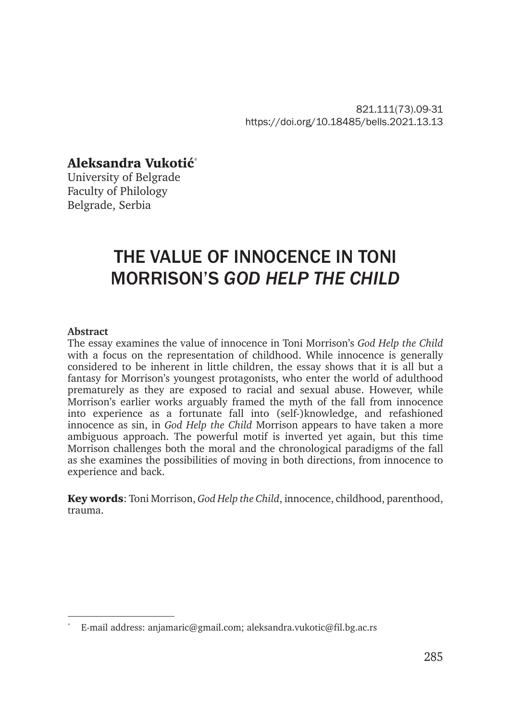821.111(73).09-31 https://doi.org/10.18485/bells.2021.13.13

Aleksandra Vukotić\*

University of Belgrade Faculty of Philology Belgrade, Serbia

# THE VALUE OF INNOCENCE IN TONI MORRISON'S *GOD HELP THE CHILD*

#### **Abstract**

The essay examines the value of innocence in Toni Morrison's *God Help the Child*  with a focus on the representation of childhood. While innocence is generally considered to be inherent in little children, the essay shows that it is all but a fantasy for Morrison's youngest protagonists, who enter the world of adulthood prematurely as they are exposed to racial and sexual abuse. However, while Morrison's earlier works arguably framed the myth of the fall from innocence into experience as a fortunate fall into (self-)knowledge, and refashioned innocence as sin, in *God Help the Child* Morrison appears to have taken a more ambiguous approach. The powerful motif is inverted yet again, but this time Morrison challenges both the moral and the chronological paradigms of the fall as she examines the possibilities of moving in both directions, from innocence to experience and back.

Key words: Toni Morrison, *God Help the Child*, innocence, childhood, parenthood, trauma.

<sup>\*</sup> E-mail address: anjamaric@gmail.com; aleksandra.vukotic@fil.bg.ac.rs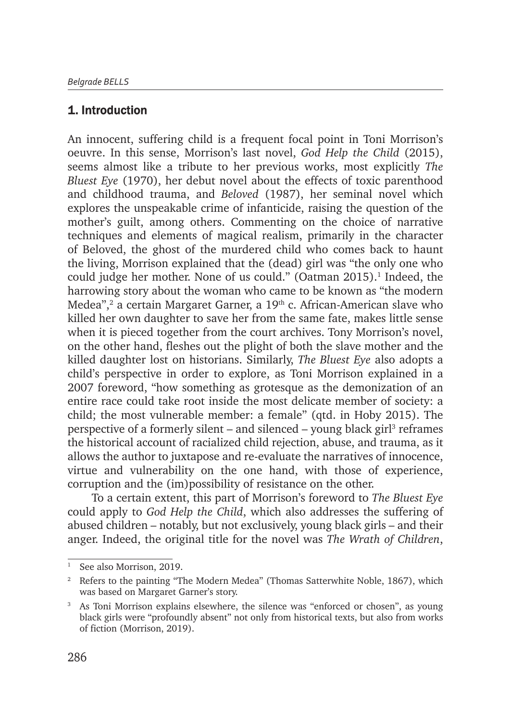#### 1. Introduction

An innocent, suffering child is a frequent focal point in Toni Morrison's oeuvre. In this sense, Morrison's last novel, *God Help the Child* (2015), seems almost like a tribute to her previous works, most explicitly *The Bluest Eye* (1970), her debut novel about the effects of toxic parenthood and childhood trauma, and *Beloved* (1987), her seminal novel which explores the unspeakable crime of infanticide, raising the question of the mother's guilt, among others. Commenting on the choice of narrative techniques and elements of magical realism, primarily in the character of Beloved, the ghost of the murdered child who comes back to haunt the living, Morrison explained that the (dead) girl was "the only one who could judge her mother. None of us could." (Oatman 2015).<sup>1</sup> Indeed, the harrowing story about the woman who came to be known as "the modern Medea",<sup>2</sup> a certain Margaret Garner, a 19<sup>th</sup> c. African-American slave who killed her own daughter to save her from the same fate, makes little sense when it is pieced together from the court archives. Tony Morrison's novel, on the other hand, fleshes out the plight of both the slave mother and the killed daughter lost on historians. Similarly, *The Bluest Eye* also adopts a child's perspective in order to explore, as Toni Morrison explained in a 2007 foreword, "how something as grotesque as the demonization of an entire race could take root inside the most delicate member of society: a child; the most vulnerable member: a female" (qtd. in Hoby 2015). The perspective of a formerly silent – and silenced – young black girl<sup>3</sup> reframes the historical account of racialized child rejection, abuse, and trauma, as it allows the author to juxtapose and re-evaluate the narratives of innocence, virtue and vulnerability on the one hand, with those of experience, corruption and the (im)possibility of resistance on the other.

To a certain extent, this part of Morrison's foreword to *The Bluest Eye*  could apply to *God Help the Child*, which also addresses the suffering of abused children – notably, but not exclusively, young black girls – and their anger. Indeed, the original title for the novel was *The Wrath of Children*,

See also Morrison, 2019.

<sup>2</sup> Refers to the painting "The Modern Medea" (Thomas Satterwhite Noble, 1867), which was based on Margaret Garner's story.

<sup>3</sup> As Toni Morrison explains elsewhere, the silence was "enforced or chosen", as young black girls were "profoundly absent" not only from historical texts, but also from works of fiction (Morrison, 2019).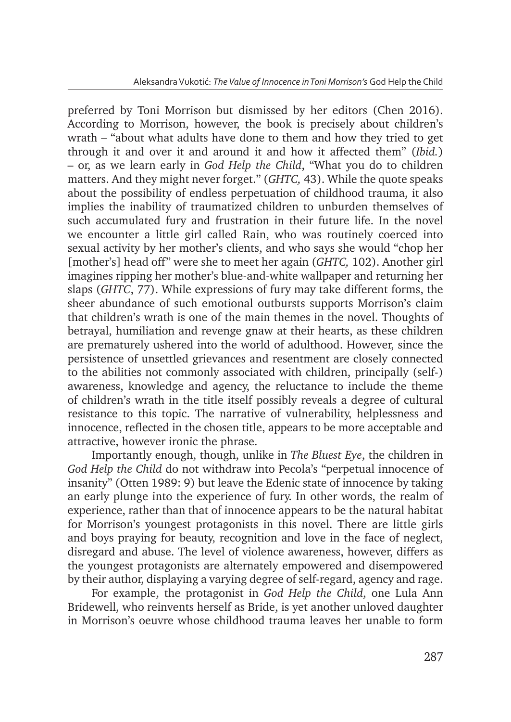preferred by Toni Morrison but dismissed by her editors (Chen 2016). According to Morrison, however, the book is precisely about children's wrath – "about what adults have done to them and how they tried to get through it and over it and around it and how it affected them" (*Ibid.*) – or, as we learn early in *God Help the Child*, "What you do to children matters. And they might never forget." (*GHTC,* 43). While the quote speaks about the possibility of endless perpetuation of childhood trauma, it also implies the inability of traumatized children to unburden themselves of such accumulated fury and frustration in their future life. In the novel we encounter a little girl called Rain, who was routinely coerced into sexual activity by her mother's clients, and who says she would "chop her [mother's] head off" were she to meet her again (*GHTC,* 102). Another girl imagines ripping her mother's blue-and-white wallpaper and returning her slaps (*GHTC*, 77). While expressions of fury may take different forms, the sheer abundance of such emotional outbursts supports Morrison's claim that children's wrath is one of the main themes in the novel. Thoughts of betrayal, humiliation and revenge gnaw at their hearts, as these children are prematurely ushered into the world of adulthood. However, since the persistence of unsettled grievances and resentment are closely connected to the abilities not commonly associated with children, principally (self-) awareness, knowledge and agency, the reluctance to include the theme of children's wrath in the title itself possibly reveals a degree of cultural resistance to this topic. The narrative of vulnerability, helplessness and innocence, reflected in the chosen title, appears to be more acceptable and attractive, however ironic the phrase.

Importantly enough, though, unlike in *The Bluest Eye*, the children in *God Help the Child* do not withdraw into Pecola's "perpetual innocence of insanity" (Otten 1989: 9) but leave the Edenic state of innocence by taking an early plunge into the experience of fury. In other words, the realm of experience, rather than that of innocence appears to be the natural habitat for Morrison's youngest protagonists in this novel. There are little girls and boys praying for beauty, recognition and love in the face of neglect, disregard and abuse. The level of violence awareness, however, differs as the youngest protagonists are alternately empowered and disempowered by their author, displaying a varying degree of self-regard, agency and rage.

For example, the protagonist in *God Help the Child*, one Lula Ann Bridewell, who reinvents herself as Bride, is yet another unloved daughter in Morrison's oeuvre whose childhood trauma leaves her unable to form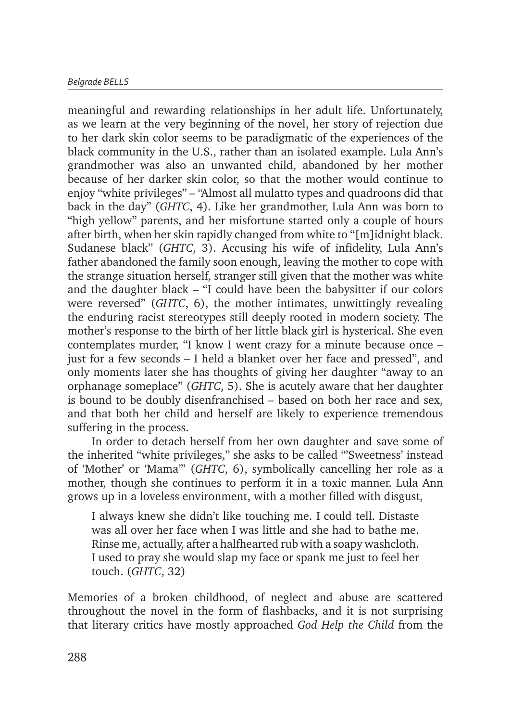meaningful and rewarding relationships in her adult life. Unfortunately, as we learn at the very beginning of the novel, her story of rejection due to her dark skin color seems to be paradigmatic of the experiences of the black community in the U.S., rather than an isolated example. Lula Ann's grandmother was also an unwanted child, abandoned by her mother because of her darker skin color, so that the mother would continue to enjoy "white privileges" – "Almost all mulatto types and quadroons did that back in the day" (*GHTC*, 4). Like her grandmother, Lula Ann was born to "high yellow" parents, and her misfortune started only a couple of hours after birth, when her skin rapidly changed from white to "[m]idnight black. Sudanese black" (*GHTC*, 3). Accusing his wife of infidelity, Lula Ann's father abandoned the family soon enough, leaving the mother to cope with the strange situation herself, stranger still given that the mother was white and the daughter black – "I could have been the babysitter if our colors were reversed" (*GHTC*, 6), the mother intimates, unwittingly revealing the enduring racist stereotypes still deeply rooted in modern society. The mother's response to the birth of her little black girl is hysterical. She even contemplates murder, "I know I went crazy for a minute because once – just for a few seconds – I held a blanket over her face and pressed", and only moments later she has thoughts of giving her daughter "away to an orphanage someplace" (*GHTC*, 5). She is acutely aware that her daughter is bound to be doubly disenfranchised – based on both her race and sex, and that both her child and herself are likely to experience tremendous suffering in the process.

In order to detach herself from her own daughter and save some of the inherited "white privileges," she asks to be called "'Sweetness' instead of 'Mother' or 'Mama'" (*GHTC*, 6), symbolically cancelling her role as a mother, though she continues to perform it in a toxic manner. Lula Ann grows up in a loveless environment, with a mother filled with disgust,

I always knew she didn't like touching me. I could tell. Distaste was all over her face when I was little and she had to bathe me. Rinse me, actually, after a halfhearted rub with a soapy washcloth. I used to pray she would slap my face or spank me just to feel her touch. (*GHTC*, 32)

Memories of a broken childhood, of neglect and abuse are scattered throughout the novel in the form of flashbacks, and it is not surprising that literary critics have mostly approached *God Help the Child* from the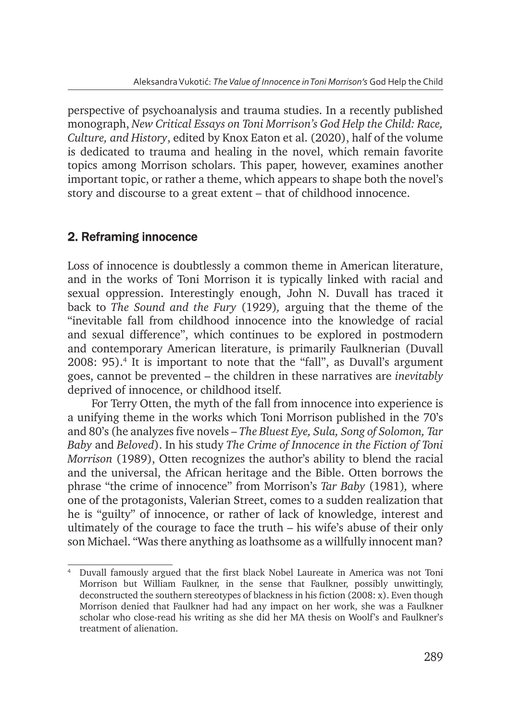perspective of psychoanalysis and trauma studies. In a recently published monograph, *New Critical Essays on Toni Morrison's God Help the Child: Race, Culture, and History*, edited by Knox Eaton et al. (2020), half of the volume is dedicated to trauma and healing in the novel, which remain favorite topics among Morrison scholars. This paper, however, examines another important topic, or rather a theme, which appears to shape both the novel's story and discourse to a great extent – that of childhood innocence.

## 2. Reframing innocence

Loss of innocence is doubtlessly a common theme in American literature, and in the works of Toni Morrison it is typically linked with racial and sexual oppression. Interestingly enough, John N. Duvall has traced it back to *The Sound and the Fury* (1929)*,* arguing that the theme of the "inevitable fall from childhood innocence into the knowledge of racial and sexual difference", which continues to be explored in postmodern and contemporary American literature, is primarily Faulknerian (Duvall 2008: 95).4 It is important to note that the "fall", as Duvall's argument goes, cannot be prevented – the children in these narratives are *inevitably* deprived of innocence, or childhood itself.

For Terry Otten, the myth of the fall from innocence into experience is a unifying theme in the works which Toni Morrison published in the 70's and 80's (he analyzes five novels – *The Bluest Eye, Sula, Song of Solomon, Tar Baby* and *Beloved*). In his study *The Crime of Innocence in the Fiction of Toni Morrison* (1989), Otten recognizes the author's ability to blend the racial and the universal, the African heritage and the Bible. Otten borrows the phrase "the crime of innocence" from Morrison's *Tar Baby* (1981)*,* where one of the protagonists, Valerian Street, comes to a sudden realization that he is "guilty" of innocence, or rather of lack of knowledge, interest and ultimately of the courage to face the truth – his wife's abuse of their only son Michael. "Was there anything as loathsome as a willfully innocent man?

<sup>4</sup> Duvall famously argued that the first black Nobel Laureate in America was not Toni Morrison but William Faulkner, in the sense that Faulkner, possibly unwittingly, deconstructed the southern stereotypes of blackness in his fiction (2008: x). Even though Morrison denied that Faulkner had had any impact on her work, she was a Faulkner scholar who close-read his writing as she did her MA thesis on Woolf's and Faulkner's treatment of alienation.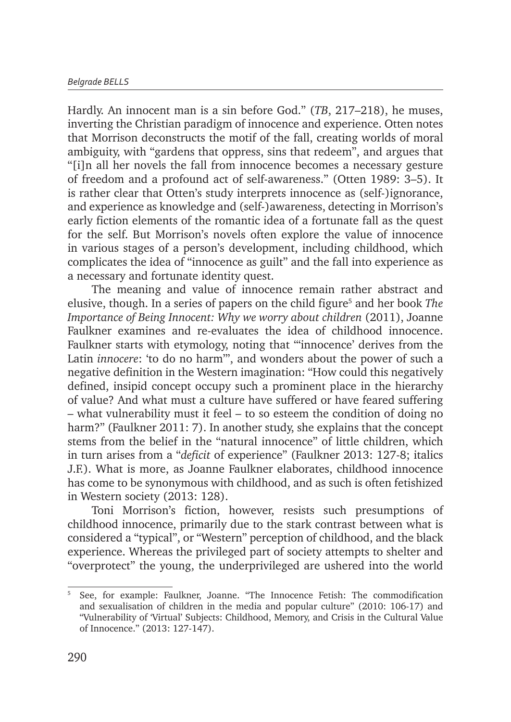Hardly. An innocent man is a sin before God." (*TB*, 217–218), he muses, inverting the Christian paradigm of innocence and experience. Otten notes that Morrison deconstructs the motif of the fall, creating worlds of moral ambiguity, with "gardens that oppress, sins that redeem", and argues that "[i]n all her novels the fall from innocence becomes a necessary gesture of freedom and a profound act of self-awareness." (Otten 1989: 3–5). It is rather clear that Otten's study interprets innocence as (self-)ignorance, and experience as knowledge and (self-)awareness, detecting in Morrison's early fiction elements of the romantic idea of a fortunate fall as the quest for the self. But Morrison's novels often explore the value of innocence in various stages of a person's development, including childhood, which complicates the idea of "innocence as guilt" and the fall into experience as a necessary and fortunate identity quest.

The meaning and value of innocence remain rather abstract and elusive, though. In a series of papers on the child figure<sup>5</sup> and her book The *Importance of Being Innocent: Why we worry about children* (2011), Joanne Faulkner examines and re-evaluates the idea of childhood innocence. Faulkner starts with etymology, noting that "'innocence' derives from the Latin *innocere*: 'to do no harm'", and wonders about the power of such a negative definition in the Western imagination: "How could this negatively defined, insipid concept occupy such a prominent place in the hierarchy of value? And what must a culture have suffered or have feared suffering – what vulnerability must it feel – to so esteem the condition of doing no harm?" (Faulkner 2011: 7). In another study, she explains that the concept stems from the belief in the "natural innocence" of little children, which in turn arises from a "*deficit* of experience" (Faulkner 2013: 127-8; italics J.F.). What is more, as Joanne Faulkner elaborates, childhood innocence has come to be synonymous with childhood, and as such is often fetishized in Western society (2013: 128).

Toni Morrison's fiction, however, resists such presumptions of childhood innocence, primarily due to the stark contrast between what is considered a "typical", or "Western" perception of childhood, and the black experience. Whereas the privileged part of society attempts to shelter and "overprotect" the young, the underprivileged are ushered into the world

<sup>5</sup> See, for example: Faulkner, Joanne. "The Innocence Fetish: The commodification and sexualisation of children in the media and popular culture" (2010: 106-17) and "Vulnerability of 'Virtual' Subjects: Childhood, Memory, and Crisis in the Cultural Value of Innocence." (2013: 127-147).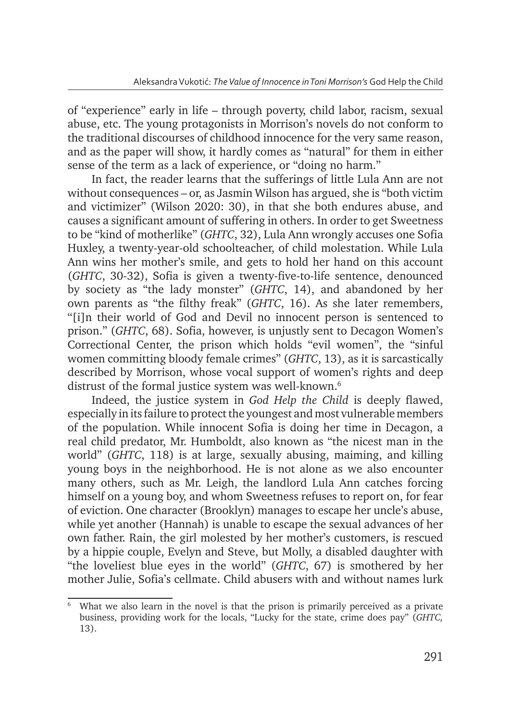of "experience" early in life – through poverty, child labor, racism, sexual abuse, etc. The young protagonists in Morrison's novels do not conform to the traditional discourses of childhood innocence for the very same reason, and as the paper will show, it hardly comes as "natural" for them in either sense of the term as a lack of experience, or "doing no harm."

In fact, the reader learns that the sufferings of little Lula Ann are not without consequences – or, as Jasmin Wilson has argued, she is "both victim and victimizer" (Wilson 2020: 30), in that she both endures abuse, and causes a significant amount of suffering in others. In order to get Sweetness to be "kind of motherlike" (*GHTC*, 32), Lula Ann wrongly accuses one Sofia Huxley, a twenty-year-old schoolteacher, of child molestation. While Lula Ann wins her mother's smile, and gets to hold her hand on this account (*GHTC*, 30-32), Sofia is given a twenty-five-to-life sentence, denounced by society as "the lady monster" (*GHTC*, 14), and abandoned by her own parents as "the filthy freak" (*GHTC*, 16). As she later remembers, "[i]n their world of God and Devil no innocent person is sentenced to prison." (*GHTC*, 68). Sofia, however, is unjustly sent to Decagon Women's Correctional Center, the prison which holds "evil women", the "sinful women committing bloody female crimes" (*GHTC*, 13), as it is sarcastically described by Morrison, whose vocal support of women's rights and deep distrust of the formal justice system was well-known.<sup>6</sup>

Indeed, the justice system in *God Help the Child* is deeply flawed, especially in its failure to protect the youngest and most vulnerable members of the population. While innocent Sofia is doing her time in Decagon, a real child predator, Mr. Humboldt, also known as "the nicest man in the world" (*GHTC*, 118) is at large, sexually abusing, maiming, and killing young boys in the neighborhood. He is not alone as we also encounter many others, such as Mr. Leigh, the landlord Lula Ann catches forcing himself on a young boy, and whom Sweetness refuses to report on, for fear of eviction. One character (Brooklyn) manages to escape her uncle's abuse, while yet another (Hannah) is unable to escape the sexual advances of her own father. Rain, the girl molested by her mother's customers, is rescued by a hippie couple, Evelyn and Steve, but Molly, a disabled daughter with "the loveliest blue eyes in the world" (*GHTC*, 67) is smothered by her mother Julie, Sofia's cellmate. Child abusers with and without names lurk

What we also learn in the novel is that the prison is primarily perceived as a private business, providing work for the locals, "Lucky for the state, crime does pay" (*GHTC,*  13).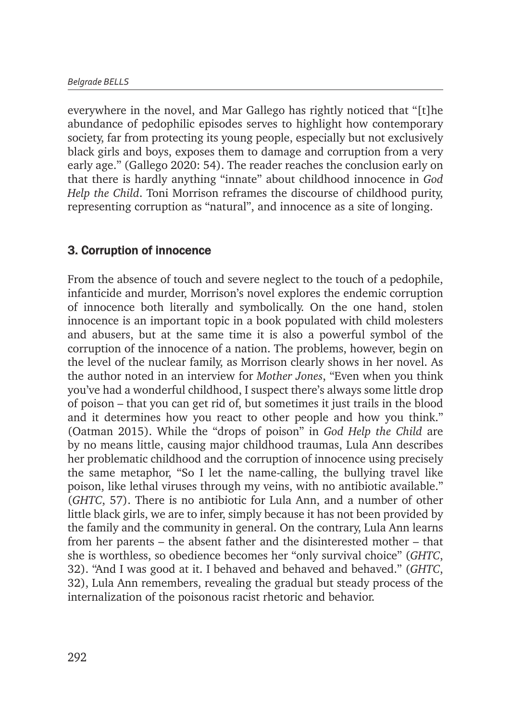everywhere in the novel, and Mar Gallego has rightly noticed that "[t]he abundance of pedophilic episodes serves to highlight how contemporary society, far from protecting its young people, especially but not exclusively black girls and boys, exposes them to damage and corruption from a very early age." (Gallego 2020: 54). The reader reaches the conclusion early on that there is hardly anything "innate" about childhood innocence in *God Help the Child*. Toni Morrison reframes the discourse of childhood purity, representing corruption as "natural", and innocence as a site of longing.

## 3. Corruption of innocence

From the absence of touch and severe neglect to the touch of a pedophile, infanticide and murder, Morrison's novel explores the endemic corruption of innocence both literally and symbolically. On the one hand, stolen innocence is an important topic in a book populated with child molesters and abusers, but at the same time it is also a powerful symbol of the corruption of the innocence of a nation. The problems, however, begin on the level of the nuclear family, as Morrison clearly shows in her novel. As the author noted in an interview for *Mother Jones*, "Even when you think you've had a wonderful childhood, I suspect there's always some little drop of poison – that you can get rid of, but sometimes it just trails in the blood and it determines how you react to other people and how you think." (Oatman 2015). While the "drops of poison" in *God Help the Child* are by no means little, causing major childhood traumas, Lula Ann describes her problematic childhood and the corruption of innocence using precisely the same metaphor, "So I let the name-calling, the bullying travel like poison, like lethal viruses through my veins, with no antibiotic available." (*GHTC*, 57). There is no antibiotic for Lula Ann, and a number of other little black girls, we are to infer, simply because it has not been provided by the family and the community in general. On the contrary, Lula Ann learns from her parents – the absent father and the disinterested mother – that she is worthless, so obedience becomes her "only survival choice" (*GHTC*, 32). "And I was good at it. I behaved and behaved and behaved." (*GHTC*, 32), Lula Ann remembers, revealing the gradual but steady process of the internalization of the poisonous racist rhetoric and behavior.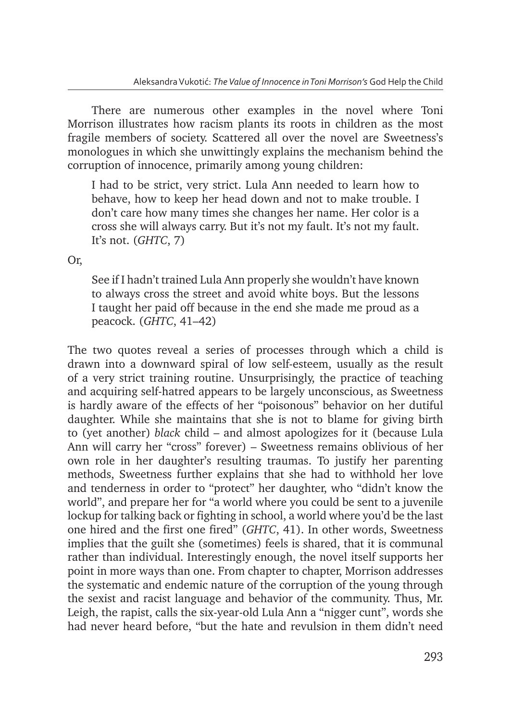There are numerous other examples in the novel where Toni Morrison illustrates how racism plants its roots in children as the most fragile members of society. Scattered all over the novel are Sweetness's monologues in which she unwittingly explains the mechanism behind the corruption of innocence, primarily among young children:

I had to be strict, very strict. Lula Ann needed to learn how to behave, how to keep her head down and not to make trouble. I don't care how many times she changes her name. Her color is a cross she will always carry. But it's not my fault. It's not my fault. It's not. (*GHTC*, 7)

Or,

See if I hadn't trained Lula Ann properly she wouldn't have known to always cross the street and avoid white boys. But the lessons I taught her paid off because in the end she made me proud as a peacock. (*GHTC*, 41–42)

The two quotes reveal a series of processes through which a child is drawn into a downward spiral of low self-esteem, usually as the result of a very strict training routine. Unsurprisingly, the practice of teaching and acquiring self-hatred appears to be largely unconscious, as Sweetness is hardly aware of the effects of her "poisonous" behavior on her dutiful daughter. While she maintains that she is not to blame for giving birth to (yet another) *black* child – and almost apologizes for it (because Lula Ann will carry her "cross" forever) – Sweetness remains oblivious of her own role in her daughter's resulting traumas. To justify her parenting methods, Sweetness further explains that she had to withhold her love and tenderness in order to "protect" her daughter, who "didn't know the world", and prepare her for "a world where you could be sent to a juvenile lockup for talking back or fighting in school, a world where you'd be the last one hired and the first one fired" (*GHTC*, 41). In other words, Sweetness implies that the guilt she (sometimes) feels is shared, that it is communal rather than individual. Interestingly enough, the novel itself supports her point in more ways than one. From chapter to chapter, Morrison addresses the systematic and endemic nature of the corruption of the young through the sexist and racist language and behavior of the community. Thus, Mr. Leigh, the rapist, calls the six-year-old Lula Ann a "nigger cunt", words she had never heard before, "but the hate and revulsion in them didn't need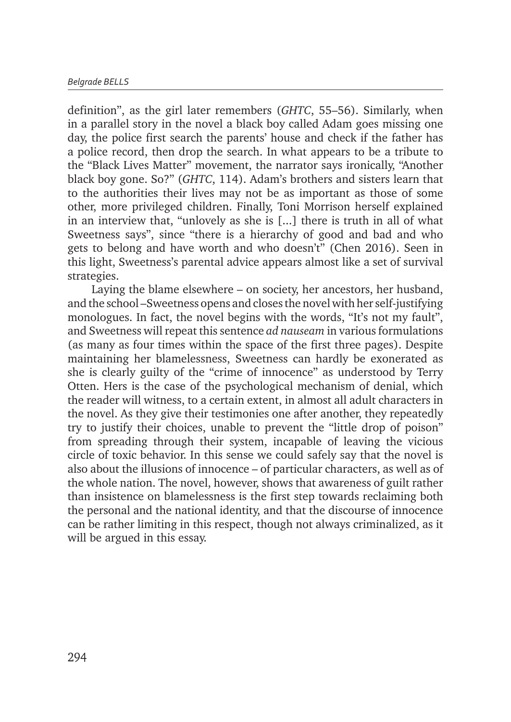definition", as the girl later remembers (*GHTC*, 55–56). Similarly, when in a parallel story in the novel a black boy called Adam goes missing one day, the police first search the parents' house and check if the father has a police record, then drop the search. In what appears to be a tribute to the "Black Lives Matter" movement, the narrator says ironically, "Another black boy gone. So?" (*GHTC*, 114). Adam's brothers and sisters learn that to the authorities their lives may not be as important as those of some other, more privileged children. Finally, Toni Morrison herself explained in an interview that, "unlovely as she is [...] there is truth in all of what Sweetness says", since "there is a hierarchy of good and bad and who gets to belong and have worth and who doesn't" (Chen 2016). Seen in this light, Sweetness's parental advice appears almost like a set of survival strategies.

Laying the blame elsewhere – on society, her ancestors, her husband, and the school –Sweetness opens and closes the novel with her self-justifying monologues. In fact, the novel begins with the words, "It's not my fault", and Sweetness will repeat this sentence *ad nauseam* in various formulations (as many as four times within the space of the first three pages). Despite maintaining her blamelessness, Sweetness can hardly be exonerated as she is clearly guilty of the "crime of innocence" as understood by Terry Otten. Hers is the case of the psychological mechanism of denial, which the reader will witness, to a certain extent, in almost all adult characters in the novel. As they give their testimonies one after another, they repeatedly try to justify their choices, unable to prevent the "little drop of poison" from spreading through their system, incapable of leaving the vicious circle of toxic behavior. In this sense we could safely say that the novel is also about the illusions of innocence – of particular characters, as well as of the whole nation. The novel, however, shows that awareness of guilt rather than insistence on blamelessness is the first step towards reclaiming both the personal and the national identity, and that the discourse of innocence can be rather limiting in this respect, though not always criminalized, as it will be argued in this essay.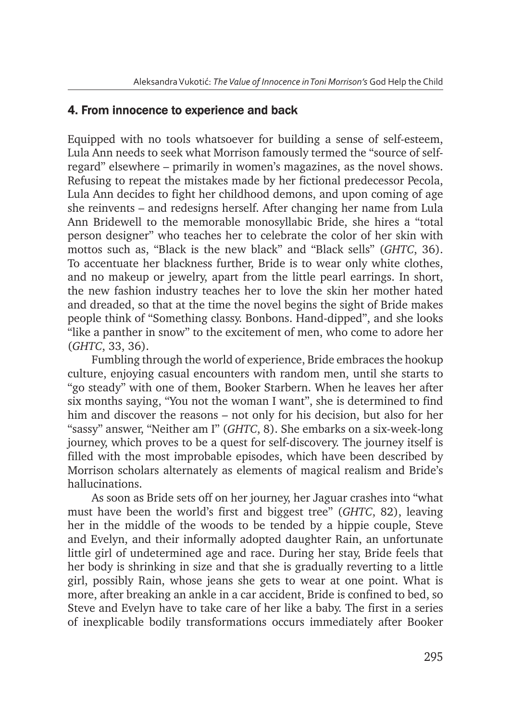#### 4. From innocence to experience and back

Equipped with no tools whatsoever for building a sense of self-esteem, Lula Ann needs to seek what Morrison famously termed the "source of selfregard" elsewhere – primarily in women's magazines, as the novel shows. Refusing to repeat the mistakes made by her fictional predecessor Pecola, Lula Ann decides to fight her childhood demons, and upon coming of age she reinvents – and redesigns herself. After changing her name from Lula Ann Bridewell to the memorable monosyllabic Bride, she hires a "total person designer" who teaches her to celebrate the color of her skin with mottos such as, "Black is the new black" and "Black sells" (*GHTC*, 36). To accentuate her blackness further, Bride is to wear only white clothes, and no makeup or jewelry, apart from the little pearl earrings. In short, the new fashion industry teaches her to love the skin her mother hated and dreaded, so that at the time the novel begins the sight of Bride makes people think of "Something classy. Bonbons. Hand-dipped", and she looks "like a panther in snow" to the excitement of men, who come to adore her (*GHTC*, 33, 36).

Fumbling through the world of experience, Bride embraces the hookup culture, enjoying casual encounters with random men, until she starts to "go steady" with one of them, Booker Starbern. When he leaves her after six months saying, "You not the woman I want", she is determined to find him and discover the reasons – not only for his decision, but also for her "sassy" answer, "Neither am I" (*GHTC*, 8). She embarks on a six-week-long journey, which proves to be a quest for self-discovery. The journey itself is filled with the most improbable episodes, which have been described by Morrison scholars alternately as elements of magical realism and Bride's hallucinations.

As soon as Bride sets off on her journey, her Jaguar crashes into "what must have been the world's first and biggest tree" (*GHTC*, 82), leaving her in the middle of the woods to be tended by a hippie couple, Steve and Evelyn, and their informally adopted daughter Rain, an unfortunate little girl of undetermined age and race. During her stay, Bride feels that her body is shrinking in size and that she is gradually reverting to a little girl, possibly Rain, whose jeans she gets to wear at one point. What is more, after breaking an ankle in a car accident, Bride is confined to bed, so Steve and Evelyn have to take care of her like a baby. The first in a series of inexplicable bodily transformations occurs immediately after Booker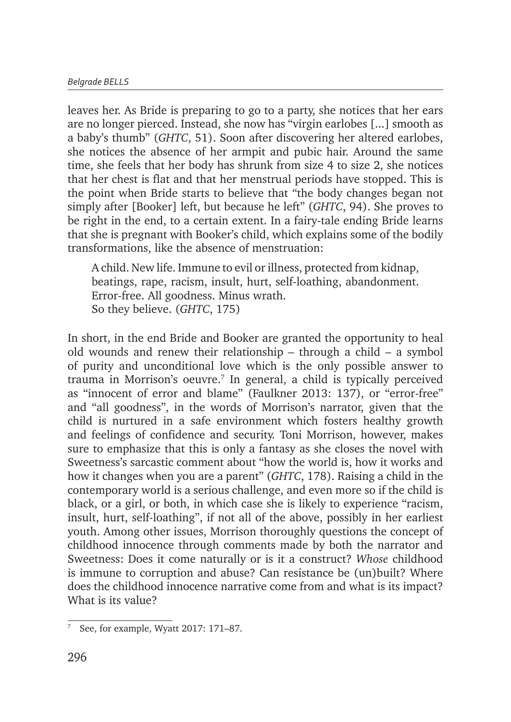leaves her. As Bride is preparing to go to a party, she notices that her ears are no longer pierced. Instead, she now has "virgin earlobes [...] smooth as a baby's thumb" (*GHTC*, 51). Soon after discovering her altered earlobes, she notices the absence of her armpit and pubic hair. Around the same time, she feels that her body has shrunk from size 4 to size 2, she notices that her chest is flat and that her menstrual periods have stopped. This is the point when Bride starts to believe that "the body changes began not simply after [Booker] left, but because he left" (*GHTC*, 94). She proves to be right in the end, to a certain extent. In a fairy-tale ending Bride learns that she is pregnant with Booker's child, which explains some of the bodily transformations, like the absence of menstruation:

A child. New life. Immune to evil or illness, protected from kidnap, beatings, rape, racism, insult, hurt, self-loathing, abandonment. Error-free. All goodness. Minus wrath. So they believe. (*GHTC*, 175)

In short, in the end Bride and Booker are granted the opportunity to heal old wounds and renew their relationship – through a child – a symbol of purity and unconditional love which is the only possible answer to trauma in Morrison's oeuvre.7 In general, a child is typically perceived as "innocent of error and blame" (Faulkner 2013: 137), or "error-free" and "all goodness", in the words of Morrison's narrator, given that the child is nurtured in a safe environment which fosters healthy growth and feelings of confidence and security. Toni Morrison, however, makes sure to emphasize that this is only a fantasy as she closes the novel with Sweetness's sarcastic comment about "how the world is, how it works and how it changes when you are a parent" (*GHTC*, 178). Raising a child in the contemporary world is a serious challenge, and even more so if the child is black, or a girl, or both, in which case she is likely to experience "racism, insult, hurt, self-loathing", if not all of the above, possibly in her earliest youth. Among other issues, Morrison thoroughly questions the concept of childhood innocence through comments made by both the narrator and Sweetness: Does it come naturally or is it a construct? *Whose* childhood is immune to corruption and abuse? Can resistance be (un)built? Where does the childhood innocence narrative come from and what is its impact? What is its value?

<sup>7</sup> See, for example, Wyatt 2017: 171–87.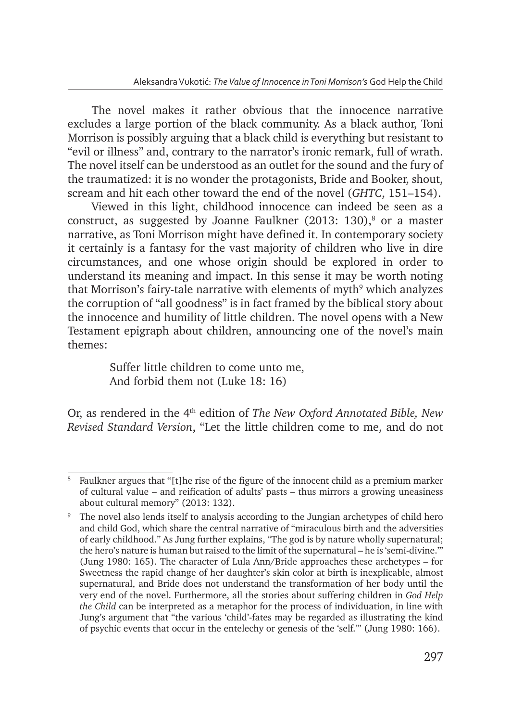The novel makes it rather obvious that the innocence narrative excludes a large portion of the black community. As a black author, Toni Morrison is possibly arguing that a black child is everything but resistant to "evil or illness" and, contrary to the narrator's ironic remark, full of wrath. The novel itself can be understood as an outlet for the sound and the fury of the traumatized: it is no wonder the protagonists, Bride and Booker, shout, scream and hit each other toward the end of the novel (*GHTC*, 151–154).

Viewed in this light, childhood innocence can indeed be seen as a construct, as suggested by Joanne Faulkner (2013: 130), $^8$  or a master narrative, as Toni Morrison might have defined it. In contemporary society it certainly is a fantasy for the vast majority of children who live in dire circumstances, and one whose origin should be explored in order to understand its meaning and impact. In this sense it may be worth noting that Morrison's fairy-tale narrative with elements of myth<sup>9</sup> which analyzes the corruption of "all goodness" is in fact framed by the biblical story about the innocence and humility of little children. The novel opens with a New Testament epigraph about children, announcing one of the novel's main themes:

> Suffer little children to come unto me, And forbid them not (Luke 18: 16)

Or, as rendered in the 4th edition of *The New Oxford Annotated Bible, New Revised Standard Version*, "Let the little children come to me, and do not

Faulkner argues that "[t]he rise of the figure of the innocent child as a premium marker of cultural value – and reification of adults' pasts – thus mirrors a growing uneasiness about cultural memory" (2013: 132).

<sup>9</sup> The novel also lends itself to analysis according to the Jungian archetypes of child hero and child God, which share the central narrative of "miraculous birth and the adversities of early childhood." As Jung further explains, "The god is by nature wholly supernatural; the hero's nature is human but raised to the limit of the supernatural – he is 'semi-divine.'" (Jung 1980: 165). The character of Lula Ann/Bride approaches these archetypes – for Sweetness the rapid change of her daughter's skin color at birth is inexplicable, almost supernatural, and Bride does not understand the transformation of her body until the very end of the novel. Furthermore, all the stories about suffering children in *God Help the Child* can be interpreted as a metaphor for the process of individuation, in line with Jung's argument that "the various 'child'-fates may be regarded as illustrating the kind of psychic events that occur in the entelechy or genesis of the 'self.'" (Jung 1980: 166).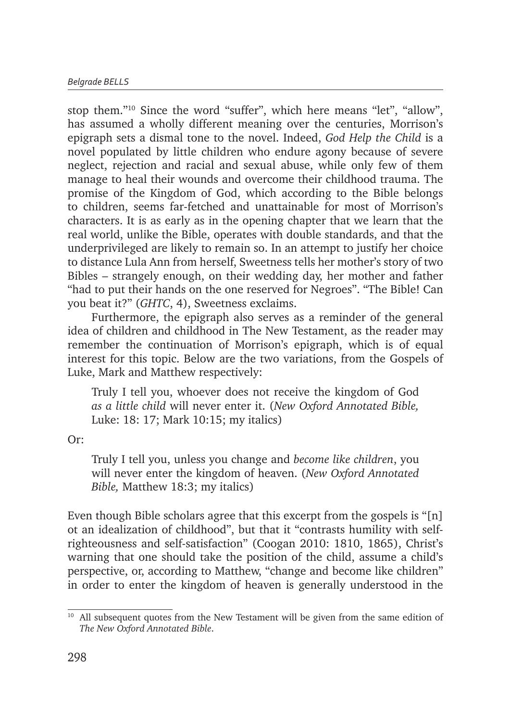stop them."10 Since the word "suffer", which here means "let", "allow", has assumed a wholly different meaning over the centuries, Morrison's epigraph sets a dismal tone to the novel. Indeed, *God Help the Child* is a novel populated by little children who endure agony because of severe neglect, rejection and racial and sexual abuse, while only few of them manage to heal their wounds and overcome their childhood trauma. The promise of the Kingdom of God, which according to the Bible belongs to children, seems far-fetched and unattainable for most of Morrison's characters. It is as early as in the opening chapter that we learn that the real world, unlike the Bible, operates with double standards, and that the underprivileged are likely to remain so. In an attempt to justify her choice to distance Lula Ann from herself, Sweetness tells her mother's story of two Bibles – strangely enough, on their wedding day, her mother and father "had to put their hands on the one reserved for Negroes". "The Bible! Can you beat it?" (*GHTC*, 4), Sweetness exclaims.

Furthermore, the epigraph also serves as a reminder of the general idea of children and childhood in The New Testament, as the reader may remember the continuation of Morrison's epigraph, which is of equal interest for this topic. Below are the two variations, from the Gospels of Luke, Mark and Matthew respectively:

Truly I tell you, whoever does not receive the kingdom of God *as a little child* will never enter it. (*New Oxford Annotated Bible,* Luke: 18: 17; Mark 10:15; my italics)

Or:

Truly I tell you, unless you change and *become like children*, you will never enter the kingdom of heaven. (*New Oxford Annotated Bible,* Matthew 18:3; my italics)

Even though Bible scholars agree that this excerpt from the gospels is "[n] ot an idealization of childhood", but that it "contrasts humility with selfrighteousness and self-satisfaction" (Coogan 2010: 1810, 1865), Christ's warning that one should take the position of the child, assume a child's perspective, or, according to Matthew, "change and become like children" in order to enter the kingdom of heaven is generally understood in the

<sup>&</sup>lt;sup>10</sup> All subsequent quotes from the New Testament will be given from the same edition of *The New Oxford Annotated Bible*.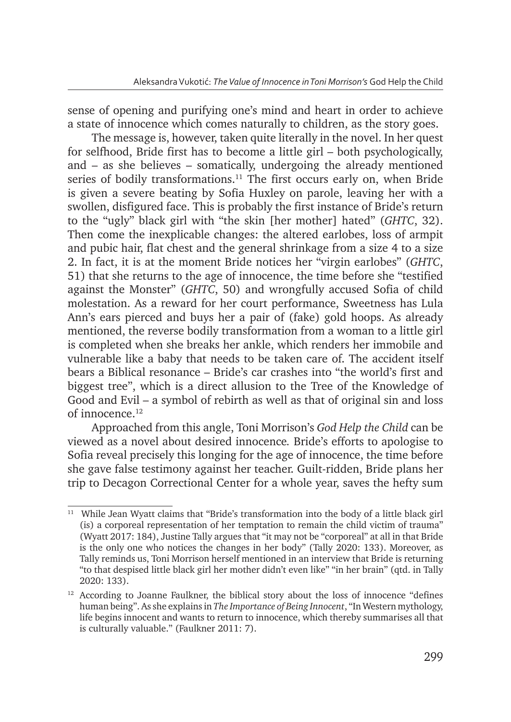sense of opening and purifying one's mind and heart in order to achieve a state of innocence which comes naturally to children, as the story goes.

The message is, however, taken quite literally in the novel. In her quest for selfhood, Bride first has to become a little girl – both psychologically, and – as she believes – somatically, undergoing the already mentioned series of bodily transformations.<sup>11</sup> The first occurs early on, when Bride is given a severe beating by Sofia Huxley on parole, leaving her with a swollen, disfigured face. This is probably the first instance of Bride's return to the "ugly" black girl with "the skin [her mother] hated" (*GHTC*, 32). Then come the inexplicable changes: the altered earlobes, loss of armpit and pubic hair, flat chest and the general shrinkage from a size 4 to a size 2. In fact, it is at the moment Bride notices her "virgin earlobes" (*GHTC*, 51) that she returns to the age of innocence, the time before she "testified against the Monster" (*GHTC*, 50) and wrongfully accused Sofia of child molestation. As a reward for her court performance, Sweetness has Lula Ann's ears pierced and buys her a pair of (fake) gold hoops. As already mentioned, the reverse bodily transformation from a woman to a little girl is completed when she breaks her ankle, which renders her immobile and vulnerable like a baby that needs to be taken care of. The accident itself bears a Biblical resonance – Bride's car crashes into "the world's first and biggest tree", which is a direct allusion to the Tree of the Knowledge of Good and Evil – a symbol of rebirth as well as that of original sin and loss of innocence.<sup>12</sup>

Approached from this angle, Toni Morrison's *God Help the Child* can be viewed as a novel about desired innocence*.* Bride's efforts to apologise to Sofia reveal precisely this longing for the age of innocence, the time before she gave false testimony against her teacher. Guilt-ridden, Bride plans her trip to Decagon Correctional Center for a whole year, saves the hefty sum

<sup>&</sup>lt;sup>11</sup> While Jean Wyatt claims that "Bride's transformation into the body of a little black girl (is) a corporeal representation of her temptation to remain the child victim of trauma" (Wyatt 2017: 184), Justine Tally argues that "it may not be "corporeal" at all in that Bride is the only one who notices the changes in her body" (Tally 2020: 133). Moreover, as Tally reminds us, Toni Morrison herself mentioned in an interview that Bride is returning "to that despised little black girl her mother didn't even like" "in her brain" (qtd. in Tally 2020: 133).

 $12$  According to Joanne Faulkner, the biblical story about the loss of innocence "defines human being". As she explains in *The Importance of Being Innocent*, "In Western mythology, life begins innocent and wants to return to innocence, which thereby summarises all that is culturally valuable." (Faulkner 2011: 7).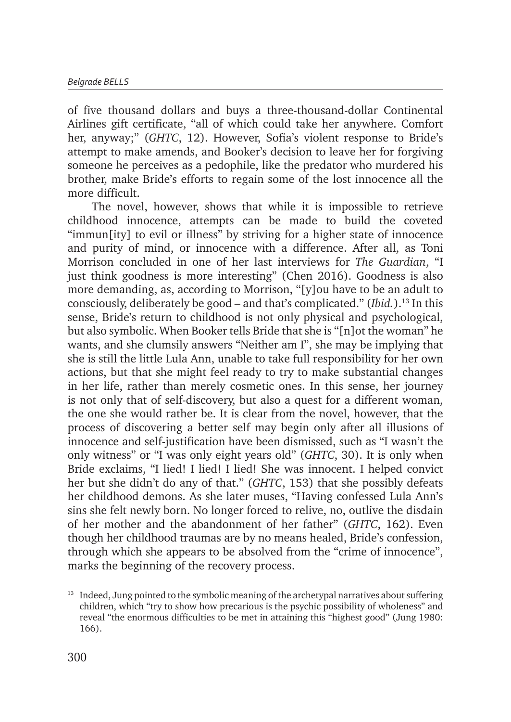of five thousand dollars and buys a three-thousand-dollar Continental Airlines gift certificate, "all of which could take her anywhere. Comfort her, anyway;" (*GHTC*, 12). However, Sofia's violent response to Bride's attempt to make amends, and Booker's decision to leave her for forgiving someone he perceives as a pedophile, like the predator who murdered his brother, make Bride's efforts to regain some of the lost innocence all the more difficult.

The novel, however, shows that while it is impossible to retrieve childhood innocence, attempts can be made to build the coveted "immun[ity] to evil or illness" by striving for a higher state of innocence and purity of mind, or innocence with a difference. After all, as Toni Morrison concluded in one of her last interviews for *The Guardian*, "I just think goodness is more interesting" (Chen 2016). Goodness is also more demanding, as, according to Morrison, "[y]ou have to be an adult to consciously, deliberately be good – and that's complicated." (*Ibid.*).13 In this sense, Bride's return to childhood is not only physical and psychological, but also symbolic. When Booker tells Bride that she is "[n]ot the woman" he wants, and she clumsily answers "Neither am I", she may be implying that she is still the little Lula Ann, unable to take full responsibility for her own actions, but that she might feel ready to try to make substantial changes in her life, rather than merely cosmetic ones. In this sense, her journey is not only that of self-discovery, but also a quest for a different woman, the one she would rather be. It is clear from the novel, however, that the process of discovering a better self may begin only after all illusions of innocence and self-justification have been dismissed, such as "I wasn't the only witness" or "I was only eight years old" (*GHTC*, 30). It is only when Bride exclaims, "I lied! I lied! I lied! She was innocent. I helped convict her but she didn't do any of that." (*GHTC*, 153) that she possibly defeats her childhood demons. As she later muses, "Having confessed Lula Ann's sins she felt newly born. No longer forced to relive, no, outlive the disdain of her mother and the abandonment of her father" (*GHTC*, 162). Even though her childhood traumas are by no means healed, Bride's confession, through which she appears to be absolved from the "crime of innocence", marks the beginning of the recovery process.

<sup>13</sup> Indeed, Jung pointed to the symbolic meaning of the archetypal narratives about suffering children, which "try to show how precarious is the psychic possibility of wholeness" and reveal "the enormous difficulties to be met in attaining this "highest good" (Jung 1980: 166).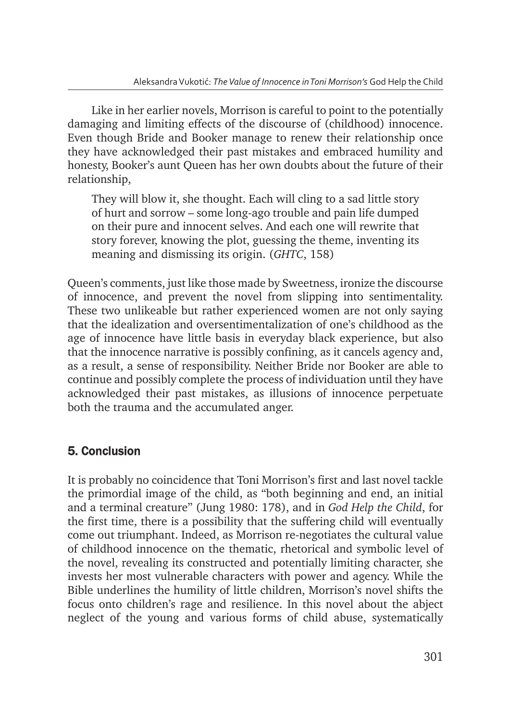Like in her earlier novels, Morrison is careful to point to the potentially damaging and limiting effects of the discourse of (childhood) innocence. Even though Bride and Booker manage to renew their relationship once they have acknowledged their past mistakes and embraced humility and honesty, Booker's aunt Queen has her own doubts about the future of their relationship,

They will blow it, she thought. Each will cling to a sad little story of hurt and sorrow – some long-ago trouble and pain life dumped on their pure and innocent selves. And each one will rewrite that story forever, knowing the plot, guessing the theme, inventing its meaning and dismissing its origin. (*GHTC*, 158)

Queen's comments, just like those made by Sweetness, ironize the discourse of innocence, and prevent the novel from slipping into sentimentality. These two unlikeable but rather experienced women are not only saying that the idealization and oversentimentalization of one's childhood as the age of innocence have little basis in everyday black experience, but also that the innocence narrative is possibly confining, as it cancels agency and, as a result, a sense of responsibility. Neither Bride nor Booker are able to continue and possibly complete the process of individuation until they have acknowledged their past mistakes, as illusions of innocence perpetuate both the trauma and the accumulated anger.

# 5. Conclusion

It is probably no coincidence that Toni Morrison's first and last novel tackle the primordial image of the child, as "both beginning and end, an initial and a terminal creature" (Jung 1980: 178), and in *God Help the Child*, for the first time, there is a possibility that the suffering child will eventually come out triumphant. Indeed, as Morrison re-negotiates the cultural value of childhood innocence on the thematic, rhetorical and symbolic level of the novel, revealing its constructed and potentially limiting character, she invests her most vulnerable characters with power and agency. While the Bible underlines the humility of little children, Morrison's novel shifts the focus onto children's rage and resilience. In this novel about the abject neglect of the young and various forms of child abuse, systematically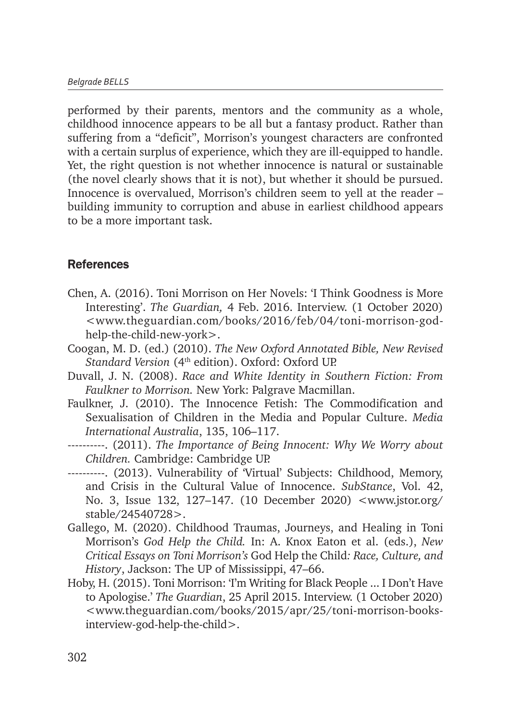performed by their parents, mentors and the community as a whole, childhood innocence appears to be all but a fantasy product. Rather than suffering from a "deficit", Morrison's youngest characters are confronted with a certain surplus of experience, which they are ill-equipped to handle. Yet, the right question is not whether innocence is natural or sustainable (the novel clearly shows that it is not), but whether it should be pursued. Innocence is overvalued, Morrison's children seem to yell at the reader – building immunity to corruption and abuse in earliest childhood appears to be a more important task.

#### **References**

- Chen, A. (2016). Toni Morrison on Her Novels: 'I Think Goodness is More Interesting'. *The Guardian,* 4 Feb. 2016. Interview. (1 October 2020) <www.theguardian.com/books/2016/feb/04/toni-morrison-godhelp-the-child-new-york>.
- Coogan, M. D. (ed.) (2010). *The New Oxford Annotated Bible, New Revised Standard Version* (4<sup>th</sup> edition). Oxford: Oxford UP.
- Duvall, J. N. (2008). *Race and White Identity in Southern Fiction: From Faulkner to Morrison.* New York: Palgrave Macmillan.
- Faulkner, J. (2010). The Innocence Fetish: The Commodification and Sexualisation of Children in the Media and Popular Culture. *Media International Australia*, 135, 106–117.
- ----------. (2011). *The Importance of Being Innocent: Why We Worry about Children.* Cambridge: Cambridge UP.
- ----------. (2013). Vulnerability of 'Virtual' Subjects: Childhood, Memory, and Crisis in the Cultural Value of Innocence. *SubStance*, Vol. 42, No. 3, Issue 132, 127–147. (10 December 2020) <www.jstor.org/ stable/24540728>.
- Gallego, M. (2020). Childhood Traumas, Journeys, and Healing in Toni Morrison's *God Help the Child.* In: A. Knox Eaton et al. (eds.), *New Critical Essays on Toni Morrison's* God Help the Child*: Race, Culture, and History*, Jackson: The UP of Mississippi, 47–66.
- Hoby, H. (2015). Toni Morrison: 'I'm Writing for Black People ... I Don't Have to Apologise.' *The Guardian*, 25 April 2015. Interview. (1 October 2020) <www.theguardian.com/books/2015/apr/25/toni-morrison-booksinterview-god-help-the-child>.